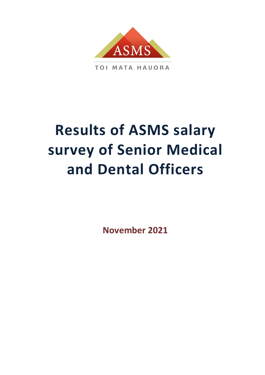

# **Results of ASMS salary survey of Senior Medical and Dental Officers**

**November 2021**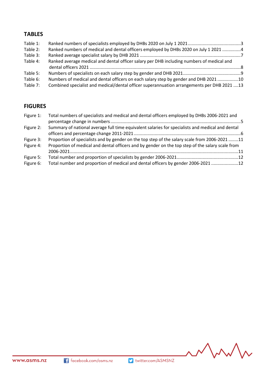# **TABLES**

| Table 1: |                                                                                            |  |
|----------|--------------------------------------------------------------------------------------------|--|
| Table 2: | Ranked numbers of medical and dental officers employed by DHBs 2020 on July 1 2021 4       |  |
| Table 3: |                                                                                            |  |
| Table 4: | Ranked average medical and dental officer salary per DHB including numbers of medical and  |  |
|          |                                                                                            |  |
| Table 5: |                                                                                            |  |
| Table 6: | Numbers of medical and dental officers on each salary step by gender and DHB 2021 10       |  |
| Table 7: | Combined specialist and medical/dental officer superannuation arrangements per DHB 2021 13 |  |
|          |                                                                                            |  |

# **FIGURES**

| Figure 1:              | Total numbers of specialists and medical and dental officers employed by DHBs 2006-2021 and                                                                                                       |  |
|------------------------|---------------------------------------------------------------------------------------------------------------------------------------------------------------------------------------------------|--|
| Figure 2:              | Summary of national average full time equivalent salaries for specialists and medical and dental                                                                                                  |  |
| Figure 3:<br>Figure 4: | Proportion of specialists and by gender on the top step of the salary scale from 2006-2021 11<br>Proportion of medical and dental officers and by gender on the top step of the salary scale from |  |
|                        |                                                                                                                                                                                                   |  |
| Figure 5:              |                                                                                                                                                                                                   |  |
| Figure 6:              | Total number and proportion of medical and dental officers by gender 2006-2021 12                                                                                                                 |  |

MMM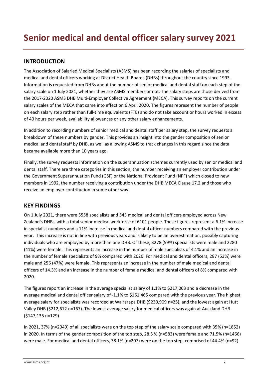## **INTRODUCTION**

The Association of Salaried Medical Specialists (ASMS) has been recording the salaries of specialists and medical and dental officers working at District Health Boards (DHBs) throughout the country since 1993. Information is requested from DHBs about the number of senior medical and dental staff on each step of the salary scale on 1 July 2021, whether they are ASMS members or not. The salary steps are those derived from the 2017-2020 ASMS DHB Multi-Employer Collective Agreement (MECA). This survey reports on the current salary scales of the MECA that came into effect on 6 April 2020. The figures represent the number of people on each salary step rather than full-time equivalents (FTE) and do not take account or hours worked in excess of 40 hours per week, availability allowances or any other salary enhancements.

In addition to recording numbers of senior medical and dental staff per salary step, the survey requests a breakdown of these numbers by gender. This provides an insight into the gender composition of senior medical and dental staff by DHB, as well as allowing ASMS to track changes in this regard since the data became available more than 10 years ago.

Finally, the survey requests information on the superannuation schemes currently used by senior medical and dental staff. There are three categories in this section; the number receiving an employer contribution under the Government Superannuation Fund (GSF) or the National Provident Fund (NPF) which closed to new members in 1992, the number receiving a contribution under the DHB MECA Clause 17.2 and those who receive an employer contribution in some other way.

### **KEY FINDINGS**

On 1 July 2021, there were 5558 specialists and 543 medical and dental officers employed across New Zealand's DHBs, with a total senior medical workforce of 6101 people. These figures represent a 6.1% increase in specialist numbers and a 11% increase in medical and dental officer numbers compared with the previous year. This increase is not in line with previous years and is likely to be an overestimation, possibly capturing individuals who are employed by more than one DHB. Of these, 3278 (59%) specialists were male and 2280 (41%) were female. This represents an increase in the number of male specialists of 4.1% and an increase in the number of female specialists of 9% compared with 2020. For medical and dental officers, 287 (53%) were male and 256 (47%) were female. This represents an increase in the number of male medical and dental officers of 14.3% and an increase in the number of female medical and dental officers of 8% compared with 2020.

The figures report an increase in the average specialist salary of 1.1% to \$217,063 and a decrease in the average medical and dental officer salary of -1.1% to \$161,465 compared with the previous year. The highest average salary for specialists was recorded at Wairarapa DHB (\$230,909 n=25), and the lowest again at Hutt Valley DHB (\$212,612 n=167). The lowest average salary for medical officers was again at Auckland DHB (\$147,135 n=129).

In 2021, 37% (n=2049) of all specialists were on the top step of the salary scale compared with 35% (n=1852) in 2020. In terms of the gender composition of the top step, 28.5 % (n=583) were female and 71.5% (n=1466) were male. For medical and dental officers, 38.1% (n=207) were on the top step, comprised of 44.4% (n=92)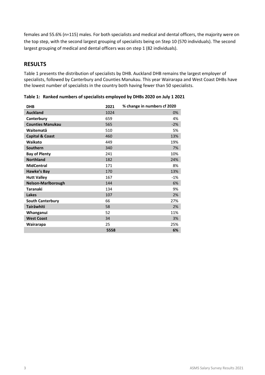females and 55.6% (n=115) males. For both specialists and medical and dental officers, the majority were on the top step, with the second largest grouping of specialists being on Step 10 (570 individuals). The second largest grouping of medical and dental officers was on step 1 (82 individuals).

## **RESULTS**

Table 1 presents the distribution of specialists by DHB. Auckland DHB remains the largest employer of specialists, followed by Canterbury and Counties Manukau. This year Wairarapa and West Coast DHBs have the lowest number of specialists in the country both having fewer than 50 specialists.

| <b>DHB</b>                 | 2021 | % change in numbers cf 2020 |
|----------------------------|------|-----------------------------|
| <b>Auckland</b>            | 1024 | 0%                          |
| Canterbury                 | 659  | 4%                          |
| <b>Counties Manukau</b>    | 565  | $-2%$                       |
| Waitematā                  | 510  | 5%                          |
| <b>Capital &amp; Coast</b> | 460  | 13%                         |
| Waikato                    | 449  | 19%                         |
| Southern                   | 340  | 7%                          |
| <b>Bay of Plenty</b>       | 241  | 10%                         |
| <b>Northland</b>           | 182  | 24%                         |
| <b>MidCentral</b>          | 171  | 8%                          |
| Hawke's Bay                | 170  | 13%                         |
| <b>Hutt Valley</b>         | 167  | $-1%$                       |
| <b>Nelson-Marlborough</b>  | 144  | 6%                          |
| <b>Taranaki</b>            | 134  | 9%                          |
| <b>Lakes</b>               | 107  | 2%                          |
| <b>South Canterbury</b>    | 66   | 27%                         |
| Tairāwhiti                 | 58   | 2%                          |
| Whanganui                  | 52   | 11%                         |
| <b>West Coast</b>          | 34   | 3%                          |
| Wairarapa                  | 25   | 25%                         |
|                            | 5558 | 6%                          |

<span id="page-4-0"></span>**Table 1: Ranked numbers of specialists employed by DHBs 2020 on July 1 2021**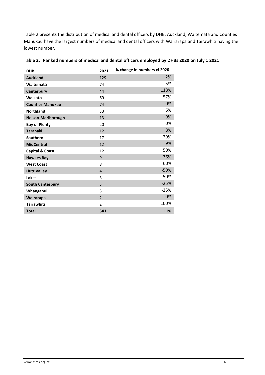Table 2 presents the distribution of medical and dental officers by DHB. Auckland, Waitematā and Counties Manukau have the largest numbers of medical and dental officers with Wairarapa and Tairāwhiti having the lowest number.

| <b>DHB</b>                 | 2021           | % change in numbers cf 2020 |
|----------------------------|----------------|-----------------------------|
| <b>Auckland</b>            | 129            | 2%                          |
| Waitematā                  | 74             | $-5%$                       |
| Canterbury                 | 44             | 118%                        |
| Waikato                    | 69             | 57%                         |
| <b>Counties Manukau</b>    | 74             | 0%                          |
| <b>Northland</b>           | 33             | 6%                          |
| Nelson-Marlborough         | 13             | $-9%$                       |
| <b>Bay of Plenty</b>       | 20             | 0%                          |
| <b>Taranaki</b>            | 12             | 8%                          |
| Southern                   | 17             | $-29%$                      |
| <b>MidCentral</b>          | 12             | 9%                          |
| <b>Capital &amp; Coast</b> | 12             | 50%                         |
| <b>Hawkes Bay</b>          | 9              | $-36%$                      |
| <b>West Coast</b>          | 8              | 60%                         |
| <b>Hutt Valley</b>         | $\overline{4}$ | $-50%$                      |
| Lakes                      | 3              | -50%                        |
| <b>South Canterbury</b>    | $\overline{3}$ | $-25%$                      |
| Whanganui                  | 3              | $-25%$                      |
| Wairarapa                  | $\overline{2}$ | 0%                          |
| Tairāwhiti                 | $\overline{2}$ | 100%                        |
| <b>Total</b>               | 543            | 11%                         |

#### <span id="page-5-0"></span>**Table 2: Ranked numbers of medical and dental officers employed by DHBs 2020 on July 1 2021**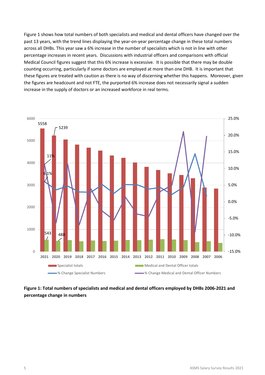Figure 1 shows how total numbers of both specialists and medical and dental officers have changed over the past 13 years, with the trend lines displaying the year-on-year percentage change in these total numbers across all DHBs. This year saw a 6% increase in the number of specialists which is not in line with other percentage increases in recent years. Discussions with industrial officers and comparisons with official Medical Council figures suggest that this 6% increase is excessive. It is possible that there may be double counting occurring, particularly if some doctors are employed at more than one DHB. It is important that these figures are treated with caution as there is no way of discerning whether this happens. Moreover, given the figures are headcount and not FTE, the purported 6% increase does not necessarily signal a sudden increase in the supply of doctors or an increased workforce in real terms.



<span id="page-6-0"></span>**Figure 1: Total numbers of specialists and medical and dental officers employed by DHBs 2006-2021 and percentage change in numbers**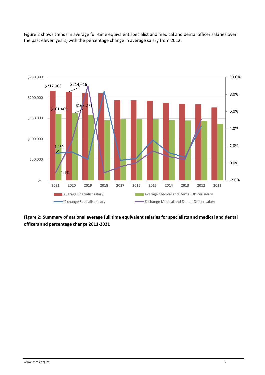Figure 2 shows trends in average full-time equivalent specialist and medical and dental officer salaries over the past eleven years, with the percentage change in average salary from 2012.



<span id="page-7-0"></span>**Figure 2: Summary of national average full time equivalent salaries for specialists and medical and dental officers and percentage change 2011-2021**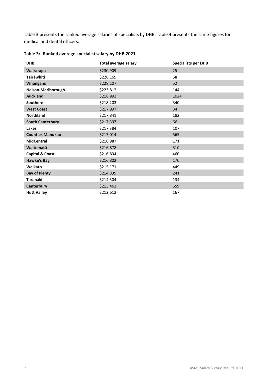Table 3 presents the ranked average salaries of specialists by DHB. Table 4 presents the same figures for medical and dental officers.

| <b>DHB</b>                 | <b>Total average salary</b> | <b>Specialists per DHB</b> |
|----------------------------|-----------------------------|----------------------------|
| Wairarapa                  | \$230,909                   | 25                         |
| Tairāwhiti                 | \$228,169                   | 58                         |
| Whanganui                  | \$228,107                   | 52                         |
| Nelson-Marlborough         | \$223,812                   | 144                        |
| <b>Auckland</b>            | \$218,992                   | 1024                       |
| Southern                   | \$218,203                   | 340                        |
| <b>West Coast</b>          | \$217,997                   | 34                         |
| <b>Northland</b>           | \$217,841                   | 182                        |
| <b>South Canterbury</b>    | \$217,397                   | 66                         |
| Lakes                      | \$217,384                   | 107                        |
| <b>Counties Manukau</b>    | \$217,014                   | 565                        |
| <b>MidCentral</b>          | \$216,987                   | 171                        |
| Waitematā                  | \$216,878                   | 510                        |
| <b>Capital &amp; Coast</b> | \$216,834                   | 460                        |
| <b>Hawke's Bay</b>         | \$216,802                   | 170                        |
| Waikato                    | \$215,171                   | 449                        |
| <b>Bay of Plenty</b>       | \$214,839                   | 241                        |
| Taranaki                   | \$214,504                   | 134                        |
| Canterbury                 | \$213,463                   | 659                        |
| <b>Hutt Valley</b>         | \$212,612                   | 167                        |

## <span id="page-8-0"></span>**Table 3: Ranked average specialist salary by DHB 2021**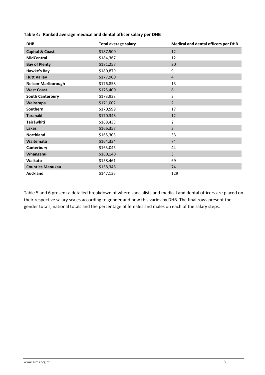| <b>DHB</b>                 | <b>Total average salary</b> | <b>Medical and dental officers per DHB</b> |
|----------------------------|-----------------------------|--------------------------------------------|
| <b>Capital &amp; Coast</b> | \$187,500                   | 12                                         |
| <b>MidCentral</b>          | \$184,367                   | 12                                         |
| <b>Bay of Plenty</b>       | \$181,257                   | 20                                         |
| <b>Hawke's Bay</b>         | \$180,879                   | 9                                          |
| <b>Hutt Valley</b>         | \$177,900                   | $\overline{4}$                             |
| Nelson-Marlborough         | \$176,858                   | 13                                         |
| <b>West Coast</b>          | \$175,400                   | 8                                          |
| <b>South Canterbury</b>    | \$173,933                   | 3                                          |
| Wairarapa                  | \$171,002                   | $\overline{2}$                             |
| Southern                   | \$170,599                   | 17                                         |
| <b>Taranaki</b>            | \$170,348                   | 12                                         |
| Tairāwhiti                 | \$168,433                   | $\overline{2}$                             |
| Lakes                      | \$166,357                   | $\overline{3}$                             |
| <b>Northland</b>           | \$165,303                   | 33                                         |
| Waitematā                  | \$164,334                   | 74                                         |
| Canterbury                 | \$163,045                   | 44                                         |
| Whanganui                  | \$160,140                   | $\overline{3}$                             |
| Waikato                    | \$158,461                   | 69                                         |
| <b>Counties Manukau</b>    | \$158,348                   | 74                                         |
| <b>Auckland</b>            | \$147,135                   | 129                                        |

#### <span id="page-9-0"></span>**Table 4: Ranked average medical and dental officer salary per DHB**

Table 5 and 6 present a detailed breakdown of where specialists and medical and dental officers are placed on their respective salary scales according to gender and how this varies by DHB. The final rows present the gender totals, national totals and the percentage of females and males on each of the salary steps.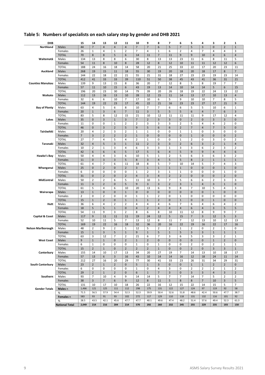| <b>DHB</b>                |                       | 15                   | 14                            | 13                      | 12                             | 11                            | 10                  | 9                       | 8                   | 7                 | 6                                | 5                   | 4                             | 3                   | 2                             | 1                           |
|---------------------------|-----------------------|----------------------|-------------------------------|-------------------------|--------------------------------|-------------------------------|---------------------|-------------------------|---------------------|-------------------|----------------------------------|---------------------|-------------------------------|---------------------|-------------------------------|-----------------------------|
| Northland                 | Males                 | 44                   | $\overline{7}$                | $\overline{\mathbf{4}}$ | $\overline{\mathbf{4}}$        | $\overline{4}$                | $\overline{7}$      | $\overline{7}$          | 6                   | 5                 | $\overline{7}$                   | 5                   | 3                             | $\mathbf 0$         | $\overline{2}$                | $\mathbf 1$                 |
|                           | Females               | 26                   | $\mathbf{1}$                  | 4                       | $\mathbf{1}$                   | $\overline{2}$                | $\overline{7}$      | 4                       | $\mathbf 1$         | 6                 | $\overline{2}$                   | 4                   | $\overline{7}$                | 4                   | 4                             | 3                           |
|                           | <b>TOTAL</b>          | 70                   | 8                             | 8                       | 5                              | 6                             | 14                  | 11                      | $\overline{7}$      | 11                | 9                                | 9                   | 10                            | 4                   | 6                             | 4                           |
| Waitematā                 | Males                 | 134                  | 13                            | 8                       | 8                              | 6                             | 30                  | 8                       | 13                  | 13                | 23                               | 11                  | 6                             | 8                   | 11                            | 5                           |
|                           | Females               | 54                   | 11                            | 8                       | 10                             | 8                             | 28                  | 12                      | 8                   | 12                | 10                               | 11                  | 11                            | 12                  | 12                            | 6                           |
|                           | <b>TOTAL</b>          | 188                  | 24                            | 16                      | 18                             | 14                            | 58                  | 20                      | 21                  | 25                | 33                               | 22                  | 17                            | 20                  | 23                            | 11                          |
| Auckland                  | Males                 | 268                  | 19                            | 15                      | 11                             | 18                            | 55                  | 30                      | 19                  | 20                | 18                               | 20                  | 18                            | 17                  | 8                             | $\overline{7}$              |
|                           | Females               | 144                  | 22                            | 18                      | 22                             | 21                            | 55                  | 21                      | 31                  | 18                | 27                               | 23                  | 23                            | 19                  | 23                            | 14                          |
|                           | <b>TOTAL</b>          | 412                  | 41                            | 33                      | 33                             | 39                            | 110                 | 51                      | 50                  | 38                | 45                               | 43                  | 41                            | 36                  | 31                            | 21                          |
| <b>Counties Manukau</b>   | Males                 | 139                  | 9                             | 13                      | 15                             | 8                             | 36                  | 20                      | $\overline{7}$      | 12                | 8                                | 5                   | 8                             | 19                  | 7                             | 7                           |
|                           | Females               | 57                   | 11                            | 10                      | 15                             | 6                             | 43                  | 19                      | 13                  | 14                | 10                               | 14                  | 14                            | 5                   | 6                             | 15                          |
|                           | <b>TOTAL</b>          | 196                  | 20                            | 23                      | 30                             | 14                            | 79                  | 39                      | 20                  | 26                | 18                               | 19                  | 22                            | 24                  | 13                            | 22                          |
| Waikato                   | Males                 | 112                  | 13                            | 16                      | 13                             | 10                            | 28                  | 12                      | 15                  | 11                | 14                               | 13                  | 17                            | 10                  | 13                            | $\overline{4}$              |
|                           | Females               | 32                   | 6                             | 6                       | 10                             | $\overline{7}$                | 17                  | 10                      | 6                   | 5                 | 9                                | 10                  | 10                            | $\overline{7}$      | 8                             | 5                           |
|                           | <b>TOTAL</b>          | 144                  | 19                            | 22                      | 23                             | 17                            | 45                  | 22                      | 21                  | 16                | 23                               | 23                  | 27                            | 17                  | 21                            | 9                           |
| <b>Bay of Plenty</b>      | Males                 | 63                   | 4                             | 5                       | 6                              | 8                             | 10                  | $\overline{7}$          | $\overline{7}$      | 6                 | 6                                | 5                   | 5                             | 10                  | 6                             | $\mathbf 1$                 |
|                           | Females               | 20                   | $\mathbf 1$                   | 3                       | 6                              | $\overline{7}$                | 11                  | $\overline{\mathbf{3}}$ | 5                   | 5                 | 5                                | 6                   | $\overline{\mathbf{4}}$       | $\overline{7}$      | 6                             | 3                           |
|                           | <b>TOTAL</b>          | 83                   | 5                             | 8                       | 12                             | 15                            | 21                  | 10                      | 12                  | 11                | 11                               | 11                  | 9                             | 17                  | 12                            | 4                           |
| Lakes                     | Males                 | 35                   | $\pmb{0}$                     | 3                       | $\mathbf{1}$                   | 3                             | $\overline{7}$      | $\overline{2}$          | 3                   | 3                 | $\mathbf 0$                      | $\overline{2}$      | $\mathbf 0$<br>$\overline{4}$ | 3<br>$\overline{4}$ | 3                             | $\mathbf 0$                 |
|                           | Females               | 11<br>46             | 0                             | 0<br>3                  | $\mathbf{1}$<br>$\overline{2}$ | $\overline{2}$<br>5           | $\overline{2}$<br>9 | 3<br>5                  | 3<br>6              | 3<br>6            | $\overline{2}$<br>$\overline{2}$ | 5<br>$\overline{7}$ | $\overline{\mathbf{4}}$       | $\overline{7}$      | $\overline{2}$<br>5           | 0<br>$\mathbf 0$            |
|                           | <b>TOTAL</b>          |                      | $\mathbf 0$<br>$\overline{4}$ |                         | 3                              | $\overline{2}$                | $\mathbf{1}$        | $\mathbf 1$             | 0                   | 0                 | $\mathbf{1}$                     | $\mathbf{1}$        |                               | 3                   | 0                             | 0                           |
| Tairāwhiti                | Males<br>Females      | 20<br>$\overline{7}$ | 3                             | 2<br>$\overline{2}$     | $\overline{2}$                 | $\overline{2}$                | $\mathbf{1}$        | $\mathbf 0$             | $\mathbf 0$         | $\mathbf{0}$      | $\mathbf 0$                      | $\mathbf 1$         | 0<br>$\mathbf 0$              | $\pmb{0}$           | $\mathbf 0$                   | $\overline{2}$              |
|                           | <b>TOTAL</b>          | 27                   | $\overline{7}$                | 4                       | 5                              | 4                             | $\overline{2}$      | $\mathbf 1$             | 0                   | 0                 | $\mathbf{1}$                     | $\overline{2}$      | 0                             | 3                   | 0                             | $\overline{2}$              |
| Taranaki                  | Males                 | 32                   | $\overline{4}$                | 5                       | 3                              | $\mathbf 1$                   | 11                  | $\overline{2}$          | 3                   | 3                 | $\overline{2}$                   | 6                   | 3                             | $\overline{2}$      | $\mathbf 1$                   | $\overline{4}$              |
|                           | Females               | 10                   | 2                             | $\mathbf{1}$            | 3                              | 4                             | 6                   | 3                       | 3                   | $\mathbf{1}$      | 3                                | 3                   | 6                             | $\overline{2}$      | 3                             | $\overline{2}$              |
|                           | <b>TOTAL</b>          | 42                   | 6                             | 6                       | 6                              | 5                             | 17                  | 5                       | $\boldsymbol{6}$    | $\overline{4}$    | 5                                | 9                   | 9                             | $\overline{4}$      | $\overline{\mathbf{4}}$       | 6                           |
| Hawke's Bay               | Males                 | 50                   | $\overline{4}$                | 4                       | 3                              | 6                             | 10                  | 5                       | $\mathbf 1$         | $\overline{2}$    | 5                                | 6                   | 3                             | 6                   | 3                             | $\overline{2}$              |
|                           | Females               | 11                   | $\mathbf{0}$                  | 3                       | 3                              | 5                             | 8                   | 3                       | $\sqrt{4}$          | 5                 | 5                                | 8                   | $\overline{2}$                | $\mathbf 1$         | $\mathbf 1$                   | $1\,$                       |
|                           | <b>TOTAL</b>          | 61                   | 4                             | $\overline{7}$          | 6                              | 11                            | 18                  | 8                       | 5                   | $\overline{7}$    | 10                               | 14                  | 5                             | $\overline{7}$      | 4                             | 3                           |
| Whanganui                 | Males                 | 25                   | $\mathbf{0}$                  | $\overline{2}$          | $\pmb{0}$                      | $\overline{2}$                | 3                   | $\mathbf 1$             | $\mathbf{1}$        | $1\,$             | $1\,$                            | $\mathbf 0$         | $\mathbf{0}$                  | $\mathbf 0$         | $\mathbf 1$                   | $\mathbf 0$                 |
|                           | Females               | 6                    | 0                             | 0                       | 0                              | 0                             | $\mathbf{1}$        | $\overline{2}$          | 3                   | $\mathbf{1}$      | $\mathbf{1}$                     | 0                   | 0                             | 0                   | $\mathbf{1}$                  | 0                           |
|                           | <b>TOTAL</b>          | 31                   | $\mathbf 0$                   | $\overline{2}$          | $\pmb{0}$                      | $\overline{2}$                | $\overline{4}$      | 3                       | $\sqrt{4}$          | $\overline{2}$    | $\overline{2}$                   | $\mathbf 0$         | $\pmb{0}$                     | $\mathbf 0$         | $\overline{2}$                | $\mathbf 0$                 |
| MidCentral                | Males                 | 50                   | 2                             | 2                       | 6                              | 5                             | 11                  | 10                      | 3                   | $\overline{7}$    | 5                                | 6                   | 6                             | $\overline{2}$      | 3                             | 3                           |
|                           | Females               | 11                   | 3                             | $\overline{2}$          | $\pmb{0}$                      | 5                             | 9                   | 3                       | 3                   | $\overline{2}$    | 3                                | $\mathbf 1$         | $\overline{4}$                | 3                   | $\mathbf 1$                   | $\mathbf 0$                 |
|                           | <b>TOTAL</b>          | 61                   | 5                             | 4                       | 6                              | 10                            | 20                  | 13                      | 6                   | 9                 | 8                                | $\overline{7}$      | 10                            | 5                   | 4                             | 3                           |
| Wairarapa                 | Males                 | 13                   | $\mathbf{1}$                  | $\pmb{0}$               | $\pmb{0}$                      | $\mathbf 1$                   | $\mathbf 0$         | $\pmb{0}$               | $\pmb{0}$           | $\mathbf 0$       | $\mathbf{0}$                     | $\mathbf 0$         | $\mathbf{0}$                  | $\mathbf 1$         | $\pmb{0}$                     | $\mathbf 0$                 |
|                           | Females               | $\overline{2}$       | 0                             | 2                       | 0                              | 0                             | $\mathbf{1}$        | $\mathbf{1}$            | $\overline{2}$      | 0                 | $\mathbf{1}$                     | 0                   | 0                             | 0                   | 0                             | 0                           |
|                           | <b>TOTAL</b>          | 15                   | $1\,$                         | $\overline{2}$          | $\pmb{0}$                      | $\mathbf 1$                   | $\mathbf 1$         | $\mathbf{1}$            | $\overline{2}$      | $\mathbf 0$       | $\mathbf 1$                      | $\mathbf 0$         | $\pmb{0}$                     | $\mathbf 1$         | $\mathbf 0$                   | $\pmb{0}$                   |
| Hutt                      | Males                 | 36                   | 6                             | 4                       | $\overline{2}$                 | $\overline{2}$                | $\overline{4}$      | $\overline{4}$          | $\overline{4}$      | 6                 | $\overline{7}$                   | 6                   | 4                             | 6                   | $\overline{4}$                | $\overline{2}$              |
|                           | Females               | 18                   | 5                             | 5                       | $1\,$                          | $\pmb{0}$                     | $\overline{4}$      | $\overline{2}$          | $\overline{4}$      | $\overline{4}$    | $\sqrt{4}$                       | 6                   | $\overline{\mathbf{4}}$       | 3                   | 5                             | 5                           |
|                           | <b>TOTAL</b>          | 54                   | 11                            | 9                       | 3                              | $\overline{2}$                | 8                   | 6                       | 8                   | 10                | 11                               | 12                  | 8                             | 9                   | 9                             | 7                           |
| Capital & Coast           | Males                 | 117                  | 9                             | 11                      | 11                             | 11                            | 19                  | 24                      | 12                  | 5                 | 15                               | $\overline{7}$      | 3                             | 12                  | 5                             | 3                           |
|                           | Females               | 52                   | 10                            | 11                      | 5                              | $\overline{7}$                | 13                  | 12                      | 8                   | 11                | $\overline{7}$                   | 12                  | 13                            | 10                  | 12                            | 13                          |
|                           | <b>TOTAL</b>          | 169                  | 19                            | 22                      | 16                             | 18                            | 32                  | 36                      | 20                  | 16                | 22                               | 19                  | 16                            | 22                  | 17                            | 16                          |
| <b>Nelson Marlborough</b> | Males                 | 48                   | $\overline{2}$                | 9                       | $\overline{2}$                 | $\mathbf{1}$                  | 12                  | 5                       | $\overline{2}$      | $\overline{2}$    | $\mathbf 1$                      | $\overline{2}$      | 0                             | $\overline{2}$      | $\mathbf{1}$                  | 0                           |
|                           | Females               | 15                   | $1\,$<br>3                    | 3                       | 5<br>$\overline{7}$            | $\mathbf 1$<br>$\overline{2}$ | 9<br>21             | $\mathbf 1$<br>6        | 5<br>$\overline{7}$ | $\mathbf{1}$<br>3 | 5<br>6                           | 3<br>5              | 3<br>3                        | $1\,$<br>3          | $\mathbf 1$<br>$\overline{2}$ | $\mathbf{1}$<br>$\mathbf 1$ |
| <b>West Coast</b>         | <b>TOTAL</b><br>Males | 63<br>9              | $\mathbf 1$                   | 12<br>$\mathbf 1$       | 0                              | $\mathbf 2$                   | $\mathbf 1$         | $\mathbf 2$             | $\pmb{0}$           | $\pmb{0}$         | $\pmb{0}$                        | $\pmb{0}$           | $\pmb{0}$                     | $\mathbf 1$         | $\mathbf 2$                   | $\pmb{0}$                   |
|                           | Females               | 6                    | 1                             | 0                       | 0                              | 0                             | 1                   | 0                       | 1                   | 0                 | 0                                | $\overline{2}$      | 0                             | 2                   | 1                             | $1\,$                       |
|                           | <b>TOTAL</b>          | 15                   | $\overline{2}$                | $\mathbf{1}$            | 0                              | $\overline{2}$                | $\overline{2}$      | $\overline{2}$          | $\mathbf{1}$        | $\mathbf 0$       | 0                                | $\overline{2}$      | $\mathbf 0$                   | 3                   | 3                             | $\mathbf{1}$                |
| Canterbury                | Males                 | 155                  | 14                            | 10                      | 17                             | 13                            | 34                  | 20                      | 27                  | 19                | $\overline{7}$                   | 14                  | 13                            | 10                  | 18                            | 17                          |
|                           | Females               | 57                   | 13                            | 6                       | 3                              | 16                            | 43                  | 10                      | 14                  | 14                | 16                               | 12                  | 18                            | 24                  | 11                            | 14                          |
|                           | <b>TOTAL</b>          | 212                  | 27                            | 16                      | 20                             | 29                            | 77                  | 30                      | 41                  | 33                | 23                               | 26                  | 31                            | 34                  | 29                            | 31                          |
| <b>South Canterbury</b>   | Males                 | 23                   | $\overline{2}$                | $1\,$                   | $\overline{2}$                 | $\mathbf 0$                   | 5                   | $\mathbf{1}$            | 3                   | $\mathbf 0$       | $\mathbf 0$                      | $\mathbf{1}$        | $\mathbf{1}$                  | $\overline{2}$      | $\overline{2}$                | 0                           |
|                           | Females               | 6                    | 0                             | 0                       | 0                              | 0                             | $\mathbf 1$         | 0                       | 4                   | 3                 | 0                                | 2                   | 2                             | $\overline{2}$      | $\mathbf 1$                   | $\overline{2}$              |
|                           | <b>TOTAL</b>          | 29                   | $\overline{2}$                | $\mathbf{1}$            | $\overline{2}$                 | 0                             | 6                   | $1\,$                   | $\overline{7}$      | 3                 | $\mathbf 0$                      | 3                   | 3                             | 4                   | 3                             | $\overline{2}$              |
| Southern                  | Males                 | 93                   | $\overline{7}$                | 10                      | 4                              | 9                             | 14                  | 14                      | 5                   | $\overline{7}$    | $\overline{7}$                   | 14                  | 7                             | 5                   | $\overline{2}$                | $\overline{2}$              |
|                           | Females               | 38                   | 3                             | $\overline{7}$          | 6                              | 9                             | 12                  | 8                       | 11                  | 5                 | 8                                | 8                   | $\overline{7}$                | 10                  | 3                             | 5                           |
|                           | <b>TOTAL</b>          | 131                  | 10                            | 17                      | 10                             | 18                            | 26                  | 22                      | 16                  | 12                | 15                               | 22                  | 14                            | 15                  | 5                             | $\overline{7}$              |
| <b>Gender Totals</b>      | Males n               | 1,466                | 121                           | 125                     | 111                            | 112                           | 298                 | 175                     | 131                 | 122               | 127                              | 124                 | 97                            | 119                 | 92                            | 58                          |
|                           | %                     | 71.5                 | 56.5                          | 57.9                    | 54.4                           | 52.3                          | 52.3                | 59.9                    | 50.4                | 52.6              | 51.8                             | 48.6                | 42.4                          | 50.6                | 47.7                          | 38.7                        |
|                           | Females n             | 583                  | 93                            | 91                      | 93                             | 102                           | 272                 | 117                     | 129                 | 110               | 118                              | 131                 | 132                           | 116                 | 101                           | 92                          |
|                           | %                     | 28.5                 | 43.5                          | 42.1                    | 45.6                           | 47.7                          | 47.7                | 40.1                    | 49.6                | 47.4              | 48.2                             | 51.4                | 57.6                          | 49.4                | 52.3                          | 61.3                        |
|                           | <b>National Total</b> | 2,049                | 214                           | 216                     | 204                            | 214                           | 570                 | 292                     | 260                 | 232               | 245                              | 255                 | 229                           | 235                 | 193                           | 150                         |

# <span id="page-10-0"></span>**Table 5: Numbers of specialists on each salary step by gender and DHB 2021**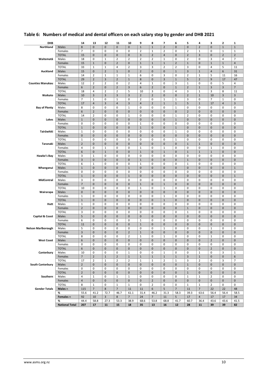| <b>DHB</b>                 |                       | 14                             | 13             | 12                   | 11             | 10                       | 9                          | 8                          | 7                            | 6                          | 5                       | 4                      | з                       | 2              | 1                        |
|----------------------------|-----------------------|--------------------------------|----------------|----------------------|----------------|--------------------------|----------------------------|----------------------------|------------------------------|----------------------------|-------------------------|------------------------|-------------------------|----------------|--------------------------|
| Northland                  | <b>Males</b>          | 8                              | $\pmb{0}$      | $\mathbf 0$          | $\pmb{0}$      | $\mathbf 0$              | $1\,$                      | $\mathbf{1}$               | $\overline{2}$               | $\mathbf 0$                | $\mathbf 0$             | $\overline{2}$         | $\pmb{0}$               | $\mathbf 1$    | $\mathbf 1$              |
|                            | Females               | 7                              | $\mathbf 0$    | $\mathsf 0$          | 0              | $\mathsf 0$              | $\overline{2}$             | $\mathbf 1$                | $\overline{2}$               | 0                          | $\overline{2}$          | 1                      | 0                       | $\mathbf 1$    | $\mathbf{1}$             |
|                            | <b>TOTAL</b>          | 15                             | $\pmb{0}$      | $\mathbf 0$          | $\pmb{0}$      | $\mathbf 0$              | $\mathsf 3$                | $\overline{2}$             | $\overline{4}$               | $\mathbf 0$                | $\overline{2}$          | 3                      | $\pmb{0}$               | $\overline{2}$ | $\overline{2}$           |
| Waitematā                  | Males                 | 18                             | 0              | $\mathbf{1}$         | $\overline{2}$ | $\overline{2}$           | $\overline{2}$             | $\overline{2}$             | $\mathbf{1}$                 | $\pmb{0}$                  | $\overline{2}$          | 0                      | 3                       | $\sqrt{4}$     | $\overline{7}$           |
|                            | Females               | 15                             | $1\,$          | $\mathbf 0$          | $\mathbf 2$    | $\mathbf 0$              | $1\,$                      | $1\,$                      | $\mathbf{1}$                 | $\overline{2}$             | $\mathbf{1}$            | $\mathbf{0}$           | $\mathbf 1$             | $\mathbf 1$    | $\overline{4}$           |
|                            | <b>TOTAL</b>          | 33                             | $1\,$          | $\mathbf 1$          | $\overline{4}$ | $\overline{2}$           | 3                          | 3                          | $\overline{2}$               | $\overline{2}$             | 3                       | 0                      | $\overline{4}$          | 5              | 11                       |
| Auckland                   | Males                 | 15                             | $\pmb{0}$      | $\overline{2}$       | $1\,$          | $\mathbf 0$              | $\overline{2}$             | $\mathbf 0$                | $\mathbf 0$                  | $\mathbf{1}$               | $\overline{\mathbf{3}}$ | $\mathbf 1$            | $\overline{4}$          | 6              | 31                       |
|                            | Females               | 14                             | $\overline{2}$ | $\mathbf 1$          | $1\,$          | $1\,$                    | 6                          | $\mathbf 0$                | 3                            | $\mathbf 0$                | $\overline{2}$          | $1\,$                  | 5                       | 11             | 16                       |
|                            | <b>TOTAL</b>          | 29                             | $\overline{2}$ | $\overline{3}$       | $\overline{2}$ | $\mathbf 1$              | $\bf 8$                    | $\mathbf 0$                | 3                            | $\mathbf{1}$               | 5                       | $\overline{2}$         | 9                       | 17             | 47                       |
| <b>Counties Manukau</b>    | Males                 | 12                             | $\overline{2}$ | $\overline{2}$       | 0              | $\overline{2}$           | $\overline{4}$             | $\mathbf 1$                | $\mathbf 0$                  | 3                          | $\mathbf{1}$            | 0                      | 0                       | 5              | $\overline{4}$           |
|                            | Females               | 6                              | $\overline{2}$ | $\mathbf 0$          | $\overline{2}$ | $\mathsf 3$              | 6                          | $\overline{2}$             | $\mathbf 0$                  | $\mathbf{1}$               | $\overline{2}$          | $\mathbf 1$            | $\mathsf 3$             | 3              | $\overline{7}$           |
|                            | <b>TOTAL</b>          | 18                             | $\sqrt{4}$     | $\overline{2}$       | $\overline{2}$ | 5                        | 10                         | 3                          | $\mathbf 0$                  | $\overline{4}$             | 3                       | $1\,$                  | 3                       | 8              | 11                       |
| Waikato                    | Males                 | 10                             | $\overline{3}$ | $\overline{3}$       | $\overline{3}$ | $\overline{3}$           | $\overline{2}$             | $\overline{2}$             | $\pmb{0}$                    | $\mathbf 0$                | $\overline{2}$          | $\mathbf 1$            | 10                      | 3              | 3                        |
|                            | Females               | $\overline{7}$                 | $1\,$          | $\pmb{0}$            | $\mathbf 1$    | $\pmb{0}$                | $\overline{2}$             | $\mathbf 0$                | $\mathbf{1}$                 | $\mathbf 1$                | 3                       | 0                      | $\overline{7}$          | $\mathbf 1$    | 0                        |
|                            | <b>TOTAL</b>          | 17                             | $\sqrt{4}$     | $\overline{3}$       | $\sqrt{4}$     | $\mathsf 3$              | $\sqrt{4}$                 | $\overline{2}$             | $\mathbf 1$                  | $\mathbf 1$                | 5                       | $\mathbf 1$            | 17                      | $\overline{4}$ | $\overline{\mathbf{3}}$  |
| <b>Bay of Plenty</b>       | Males                 | 8                              | 0              | $\pmb{0}$            | 0              | $\mathbf 1$              | 0                          | $\mathbf 0$                | $\mathbf 0$                  | $\mathbf 1$                | 0                       | 0                      | 0                       | $\mathbf 0$    | 0                        |
|                            | Females               | $\boldsymbol{6}$               | $\mathbf 2$    | $\mathbf 0$          | $\pmb{0}$      | $\mathbf 0$              | $\pmb{0}$                  | $\mathbf 0$                | $\mathbf 0$                  | $\mathbf 0$                | $\mathbf 2$             | $\pmb{0}$              | $\mathsf 0$             | $\pmb{0}$      | $\mathbf 0$              |
|                            | <b>TOTAL</b>          | 14                             | $\overline{2}$ | $\pmb{0}$            | 0              | $\mathbf 1$              | 0                          | $\mathbf 0$                | $\mathbf 0$                  | $\mathbf 1$                | $\overline{2}$          | $\mathbf 0$            | $\pmb{0}$               | 0              | 0                        |
| Lakes                      | Males                 | $\mathbf 1$                    | $\pmb{0}$      | $\mathbf 0$          | $\pmb{0}$      | $\mathbf 0$              | $\pmb{0}$                  | $\mathbf 0$                | $\pmb{0}$                    | $\mathbf 1$                | $\mathbf 0$             | $\pmb{0}$              | $\pmb{0}$               | $\pmb{0}$      | $\mathbf 0$              |
|                            | Females               | 0                              | 0              | $\pmb{0}$            | 0              | $\pmb{0}$                | $\mathbf 1$                | $\mathbf 0$                | $\mathbf 0$                  | $\mathbf 0$                | $\mathbf 0$             | 0                      | $\pmb{0}$               | 0              | $\pmb{0}$                |
|                            | <b>TOTAL</b>          | $\mathbf 1$                    | $\pmb{0}$      | $\mathbf 0$          | $\pmb{0}$      | $\mathbf 0$              | $\mathbf 1$                | $\mathbf 0$                | $\mathbf 0$                  | $\mathbf 1$                | $\mathbf 0$             | $\mathbf{0}$           | $\pmb{0}$               | $\pmb{0}$      | $\pmb{0}$                |
| Tairāwhiti                 | Males                 | $\mathbf 1$                    | 0              | $\pmb{0}$            | 0              | $\pmb{0}$                | 0                          | $\mathbf 0$                | $\mathbf 0$                  | $\mathbf 1$                | 0                       | $\mathbf 0$            | $\mathbf 0$             | 0              | $\mathsf 0$              |
|                            | Females               | $\pmb{0}$                      | $\pmb{0}$      | $\mathbf 0$          | $\pmb{0}$      | $\mathbf 0$              | $\pmb{0}$                  | $\mathbf 0$                | $\pmb{0}$                    | $\pmb{0}$                  | $\pmb{0}$               | $\pmb{0}$              | $\pmb{0}$               | $\mathbf{0}$   | $\pmb{0}$                |
|                            | <b>TOTAL</b>          | $\mathbf 1$                    | 0              | $\pmb{0}$            | 0              | $\pmb{0}$                | 0                          | $\mathbf 0$                | $\mathbf 0$                  | $\mathbf 1$                | $\mathbf 0$             | 0                      | $\mathbf 0$             | 0              | $\pmb{0}$                |
| Taranaki                   | Males                 | $\overline{2}$                 | $\pmb{0}$      | $\mathbf 0$          | $\pmb{0}$      | $\mathbf 0$              | $\pmb{0}$                  | $\mathbf 0$                | $\mathbf 0$                  | $\mathbf 0$                | $\mathbf 1$             | $1\,$                  | $\pmb{0}$               | $\mathbf{0}$   | $\pmb{0}$                |
|                            | Females               | $\sqrt{4}$<br>$\boldsymbol{6}$ | 0<br>$\pmb{0}$ | $1\,$<br>$\mathbf 1$ | 0<br>$\pmb{0}$ | $\pmb{0}$<br>$\mathbf 0$ | $\mathbf 1$<br>$\mathbf 1$ | $\mathbf 0$<br>$\mathbf 0$ | $\mathbf{1}$<br>$\mathbf{1}$ | $\mathbf 0$<br>$\mathbf 0$ | 0<br>$1\,$              | 0<br>$\mathbf 1$       | $\mathbf{1}$<br>$1\,$   | 0<br>$\pmb{0}$ | $\mathbf 0$<br>$\pmb{0}$ |
|                            | <b>TOTAL</b><br>Males | 3                              | $1\,$          | $\pmb{0}$            | 0              | $\pmb{0}$                | 0                          | $\mathbf 0$                | $\mathbf 0$                  | $\mathbf 0$                | $\mathbf 0$             | 0                      | $\pmb{0}$               | 0              | $\mathbf 0$              |
| Hawke's Bay                | Females               | $\overline{3}$                 | $\pmb{0}$      | $\mathbf 0$          | $\pmb{0}$      | $\mathbf 0$              | $\mathbf 1$                | $\mathbf 0$                | $\mathbf{0}$                 | $\mathbf 0$                | $\mathbf 1$             | $\mathbf{0}$           | $\mathbf{0}$            | $\overline{0}$ | $\pmb{0}$                |
|                            | <b>TOTAL</b>          | 6                              | $1\,$          | $\pmb{0}$            | 0              | $\pmb{0}$                | $\mathbf 1$                | $\mathbf 0$                | $\mathbf 0$                  | $\mathbf 0$                | $\mathbf{1}$            | 0                      | $\pmb{0}$               | 0              | 0                        |
| Whanganui                  | Males                 | $\mathbf 1$                    | $\pmb{0}$      | $\mathbf 0$          | $\pmb{0}$      | $1\,$                    | $\pmb{0}$                  | $\mathbf 0$                | $\mathbf 0$                  | $\mathbf 0$                | $\mathbf 0$             | $\pmb{0}$              | $\pmb{0}$               | $\pmb{0}$      | $\mathbf{1}$             |
|                            | Females               | 0                              | 0              | $\pmb{0}$            | 0              | $\pmb{0}$                | 0                          | $\mathbf 0$                | $\mathbf 0$                  | $\mathbf 0$                | $\mathbf 0$             | 0                      | 0                       | $\mathbf 0$    | $\pmb{0}$                |
|                            | <b>TOTAL</b>          | $\mathbf 1$                    | $\pmb{0}$      | $\mathbf 0$          | $\pmb{0}$      | $\mathbf 1$              | $\pmb{0}$                  | $\mathbf 0$                | $\mathbf 0$                  | $\mathbf 0$                | $\mathbf 0$             | $\pmb{0}$              | $\pmb{0}$               | $\pmb{0}$      | $\mathbf 1$              |
| MidCentral                 | Males                 | 3                              | 0              | $\pmb{0}$            | 0              | $\pmb{0}$                | 0                          | $\mathbf 0$                | $\mathbf 0$                  | $\mathbf 0$                | 0                       | $\mathbf 0$            | $\pmb{0}$               | 0              | 0                        |
|                            | Females               | $\overline{7}$                 | $\pmb{0}$      | $\mathbf 0$          | $\pmb{0}$      | $\mathbf 0$              | $1\,$                      | $\mathbf 0$                | $\mathbf{1}$                 | $\mathbf 0$                | $\mathbf 0$             | $\pmb{0}$              | $\pmb{0}$               | $\pmb{0}$      | $\pmb{0}$                |
|                            | <b>TOTAL</b>          | 10                             | 0              | $\pmb{0}$            | 0              | $\pmb{0}$                | $\mathbf 1$                | $\mathbf 0$                | $\mathbf{1}$                 | $\mathbf 0$                | $\mathbf 0$             | 0                      | 0                       | 0              | $\pmb{0}$                |
| Wairarapa                  | Males                 | $\pmb{0}$                      | $\pmb{0}$      | $\mathbf 0$          | $\pmb{0}$      | $\mathbf 0$              | $\pmb{0}$                  | $\mathbf 0$                | $\mathbf 0$                  | $\mathbf 0$                | $\mathbf 0$             | $\mathbf{0}$           | $\pmb{0}$               | $\mathbf{0}$   | $\pmb{0}$                |
|                            | Females               | $\mathbf 1$                    | 0              | $\pmb{0}$            | 0              | $\pmb{0}$                | 0                          | $\mathbf 0$                | $\mathbf{1}$                 | $\mathbf 0$                | $\mathbf 0$             | 0                      | $\pmb{0}$               | 0              | $\pmb{0}$                |
|                            | <b>TOTAL</b>          | $\mathbf 1$                    | $\pmb{0}$      | $\mathbf 0$          | $\pmb{0}$      | $\mathbf 0$              | $\pmb{0}$                  | $\mathbf 0$                | $\mathbf{1}$                 | $\mathbf 0$                | $\mathbf 0$             | $\pmb{0}$              | $\pmb{0}$               | $\mathbf{0}$   | $\pmb{0}$                |
| Hutt                       | Males                 | $\mathbf 1$                    | 0              | $\pmb{0}$            | 0              | $\pmb{0}$                | 0                          | $\mathbf 0$                | $\mathbf 0$                  | $\mathbf 0$                | $\mathbf 0$             | $\mathbf 0$            | 0                       | 0              | $\pmb{0}$                |
|                            | Females               | $\overline{2}$                 | $\pmb{0}$      | $\mathbf 0$          | $\pmb{0}$      | $\mathbf 0$              | $\pmb{0}$                  | $\mathbf 0$                | $\mathbf 0$                  | $\mathbf 0$                | $\mathbf 1$             | $\pmb{0}$              | $\pmb{0}$               | $\mathbf{0}$   | $\pmb{0}$                |
|                            | <b>TOTAL</b>          | 3                              | 0              | $\pmb{0}$            | 0              | $\pmb{0}$                | 0                          | $\mathbf 0$                | $\mathbf 0$                  | $\mathbf 0$                | $\mathbf{1}$            | 0                      | 0                       | $\mathbf 0$    | $\pmb{0}$                |
| <b>Capital &amp; Coast</b> | <b>Males</b>          | 5                              | $\pmb{0}$      | $\mathbf 0$          | $\pmb{0}$      | $\mathbf 0$              | $\pmb{0}$                  | $\mathbf 0$                | $\mathbf 0$                  | $\mathbf 0$                | $\mathbf 0$             | $\pmb{0}$              | $\pmb{0}$               | $\pmb{0}$      | $\pmb{0}$                |
|                            | Females               | 6                              | 0              | $\pmb{0}$            | 0              | $\pmb{0}$                | $\mathbf 1$                | $\mathbf 0$                | $\mathbf 0$                  | $\mathbf 0$                | $\mathbf 0$             | 0                      | $\pmb{0}$               | 0              | $\pmb{0}$                |
|                            | <b>TOTAL</b>          | 11                             | $\pmb{0}$      | $\mathbf 0$          | $\pmb{0}$      | $\mathbf 0$              | $1\,$                      | $\mathbf 0$                | $\mathbf 0$                  | $\mathbf 0$                | $\mathbf 0$             | $\pmb{0}$              | $\pmb{0}$               | $\pmb{0}$      | $\pmb{0}$                |
| <b>Nelson Marlborough</b>  | Males                 | 5                              | 0              | 0                    | 0              | 0                        | 0                          | $\mathbf 0$                | $\mathbf{1}$                 | $\mathbf 0$                | $\mathbf 0$             | 0                      | $1\,$                   | 0              | 0                        |
|                            | Females               | $\mathsf 3$                    | $\pmb{0}$      | $\mathbf 0$          | $\pmb{0}$      | $\mathbf 2$              | $\mathbf 1$                | $\mathbf 0$                | $\mathbf 0$                  | $\mathbf 0$                | $\mathbf 0$             | $\pmb{0}$              | $\pmb{0}$               | 0              | 0                        |
|                            | <b>TOTAL</b>          | 8                              | $\mathbf 0$    | 0                    | $\mathbf 0$    | $\mathbf 2$              | $\mathbf 1$                | $\mathbf 0$                | $\mathbf{1}$                 | $\mathbf 0$                | $\mathbf 0$             | $\mathbf 0$            | $1\,$                   | 0              | 0                        |
| <b>West Coast</b>          | Males                 | $\boldsymbol{6}$               | $\pmb{0}$      | $\pmb{0}$            | $\pmb{0}$      | $\pmb{0}$                | $\pmb{0}$                  | $\pmb{0}$                  | $\pmb{0}$                    | $\pmb{0}$                  | $\pmb{0}$               | $\pmb{0}$              | $\overline{\mathbf{c}}$ | $\pmb{0}$      | 0                        |
|                            | Females               | 0                              | 0              | 0                    | 0              | 0                        | 0                          | 0                          | 0                            | 0                          | 0                       | 0                      | 0                       | 0              | 0                        |
|                            | <b>TOTAL</b>          | $\boldsymbol{6}$               | $\pmb{0}$      | $\pmb{0}$            | $\pmb{0}$      | $\mathbf 0$              | $\pmb{0}$                  | $\mathbf 0$                | $\mathbf 0$                  | $\pmb{0}$                  | $\mathbf 0$             | $\pmb{0}$              | $\mathbf 2$             | 0              | $\mathbf 0$              |
| Canterbury                 | Males                 | 10                             | 0              | 0                    | 0              | $1\,$                    | 0                          | 0                          | $\mathbf 1$                  | 0                          | 0                       | $\mathbf{1}$           | 0                       | 3              | $1\,$                    |
|                            | Females               | $\overline{7}$                 | $\mathbf 2$    | $\mathbf 1$          | $\mathbf 2$    | $\mathbf 1$              | $\mathbf 1$                | $\mathbf 1$                | $\mathbf 1$                  | $\mathbf 1$                | $\mathsf 3$             | $\mathbf 1$            | 0                       | 0              | 6                        |
|                            | <b>TOTAL</b>          | 17                             | $\mathbf 2$    | $\mathbf 1$          | $\mathbf 2$    | $\mathbf 2$              | $\mathbf 1$                | $\mathbf 1$                | $\overline{2}$               | $\mathbf 1$                | 3                       | $\mathbf 2$            | $\pmb{0}$               | 3              | $\overline{7}$           |
| South Canterbury           | Males                 | $\mathbf 2$                    | $\pmb{0}$      | $\pmb{0}$            | $\pmb{0}$      | $\pmb{0}$                | $\pmb{0}$                  | $\mathbf 0$                | $\mathbf 0$                  | $\mathbf 0$                | $\mathbf 1$             | $\pmb{0}$              | $\pmb{0}$               | $\pmb{0}$      | $\mathbf{0}$             |
|                            | Females               | 0                              | 0              | $\pmb{0}$            | 0              | $\pmb{0}$                | 0                          | $\mathbf 0$                | 0                            | $\mathbf 0$                | 0                       | 0                      | 0                       | 0              | 0                        |
|                            | <b>TOTAL</b>          | $\mathbf 2$                    | $\pmb{0}$      | $\pmb{0}$            | $\pmb{0}$      | $\pmb{0}$                | $\pmb{0}$                  | $\mathbf 0$                | $\mathbf 0$                  | $\mathbf 0$                | $\,1\,$                 | $\mathbf 0$            | $\pmb{0}$               | 0              | $\mathbf{0}$             |
| Southern                   | Males                 | $\sqrt{4}$                     | $1\,$          | 0                    | $\mathbf 1$    | $\,1\,$                  | 0                          | 0                          | 0                            | 0                          | $\,1\,$                 | $\mathbf 1$            | $\overline{2}$          | 0              | 0                        |
|                            | Females               | $\sqrt{4}$                     | $\pmb{0}$      | $\pmb{0}$            | $\pmb{0}$      | $\mathbf 0$              | $\pmb{0}$                  | $\overline{2}$             | $\mathbf 0$                  | $\mathbf 0$                | $\mathbf 0$             | $\pmb{0}$              | $\mathbf 0$             | 0              | $\mathbf 0$              |
|                            | <b>TOTAL</b>          | 8                              | $\mathbf 1$    | $\mathsf 0$          | $\mathbf 1$    | $\mathbf 1$              | 0                          | $\overline{2}$             | 0                            | 0                          | $\mathbf{1}$            | $\mathbf 1$            | $\overline{2}$          | 0              | 0                        |
| <b>Gender Totals</b>       | Males n               | 115                            | $\overline{7}$ | $\bf 8$              | $\overline{7}$ | 11                       | 11                         | 6                          | $\sqrt{5}$                   | $\overline{7}$             | 11                      | $\overline{7}$         | 22                      | 22             | 48                       |
|                            | %                     | 55.6<br>92                     | 41.2           | 72.7<br>$\mathbf{3}$ | 46.7           | 61.1<br>$\overline{7}$   | 31.4<br>24                 | 46.2<br>$\overline{7}$     | 31.3<br>11                   | 58.3<br>5                  | 39.3<br>17              | 63.6<br>$\overline{4}$ | 56.4<br>17              | 56.4<br>17     | 58.5<br>34               |
|                            | Females n<br>%        | 44.4                           | 10<br>58.8     | 27.3                 | 8<br>53.3      | 38.9                     | 68.6                       | 53.8                       | 68.8                         | 41.7                       | 60.7                    | 36.4                   | 43.6                    | 43.6           | 41.5                     |
|                            | <b>National Total</b> | 207                            | 17             | 11                   | 15             | 18                       | 35                         | 13                         | 16                           | 12                         | 28                      | 11                     | 39                      | 39             | 82                       |
|                            |                       |                                |                |                      |                |                          |                            |                            |                              |                            |                         |                        |                         |                |                          |

# <span id="page-11-0"></span>**Table 6: Numbers of medical and dental officers on each salary step by gender and DHB 2021**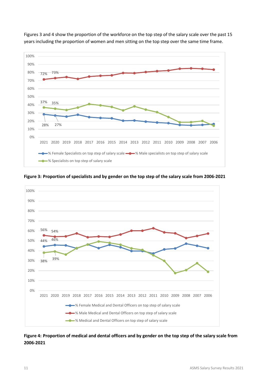

Figures 3 and 4 show the proportion of the workforce on the top step of the salary scale over the past 15 years including the proportion of women and men sitting on the top step over the same time frame.

100% 90% 80% 70% 56% 54% 60% 44% 46% 50% 40% 38% 39% 30% 20% 10% 0% 2021 2020 2019 2018 2017 2016 2015 2014 2013 2012 2011 2010 2009 2008 2007 2006 % Female Medical and Dental Officers on top step of salary scale <u>—a</u> % Male Medical and Dental Officers on top step of salary scale  $\longrightarrow$  % Medical and Dental Officers on top step of salary scale

<span id="page-12-0"></span>**Figure 3: Proportion of specialists and by gender on the top step of the salary scale from 2006-2021**

#### <span id="page-12-1"></span>**Figure 4: Proportion of medical and dental officers and by gender on the top step of the salary scale from 2006-2021**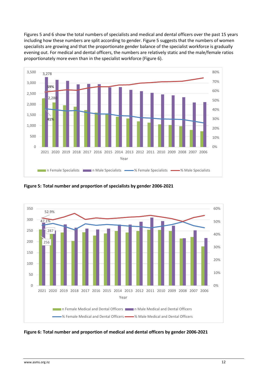Figures 5 and 6 show the total numbers of specialists and medical and dental officers over the past 15 years including how these numbers are split according to gender. Figure 5 suggests that the numbers of women specialists are growing and that the proportionate gender balance of the specialist workforce is gradually evening out. For medical and dental officers, the numbers are relatively static and the male/female ratios proportionately more even than in the specialist workforce (Figure 6).



<span id="page-13-0"></span>**Figure 5: Total number and proportion of specialists by gender 2006-2021**



<span id="page-13-1"></span>**Figure 6: Total number and proportion of medical and dental officers by gender 2006-2021**